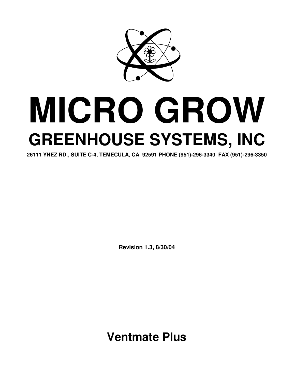

# **MICRO GROW GREENHOUSE SYSTEMS, INC**

**26111 YNEZ RD., SUITE C-4, TEMECULA, CA 92591 PHONE (951)-296-3340 FAX (951)-296-3350**

**Revision 1.3, 8/30/04**

**Ventmate Plus**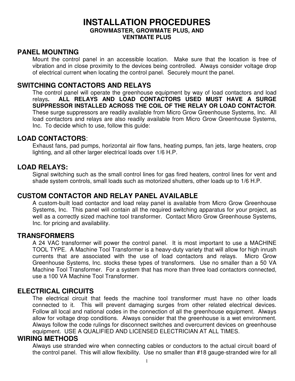# **INSTALLATION PROCEDURES GROWMASTER, GROWMATE PLUS, AND VENTMATE PLUS**

# **PANEL MOUNTING**

Mount the control panel in an accessible location. Make sure that the location is free of vibration and in close proximity to the devices being controlled. Always consider voltage drop of electrical current when locating the control panel. Securely mount the panel.

# **SWITCHING CONTACTORS AND RELAYS**

The control panel will operate the greenhouse equipment by way of load contactors and load relays**. ALL RELAYS AND LOAD CONTACTORS USED MUST HAVE A SURGE SUPPRESSOR INSTALLED ACROSS THE COIL OF THE RELAY OR LOAD CONTACTOR**. These surge suppressors are readily available from Micro Grow Greenhouse Systems, Inc. All load contactors and relays are also readily available from Micro Grow Greenhouse Systems, Inc. To decide which to use, follow this guide:

# **LOAD CONTACTORS**:

Exhaust fans, pad pumps, horizontal air flow fans, heating pumps, fan jets, large heaters, crop lighting, and all other larger electrical loads over 1/6 H.P.

# **LOAD RELAYS:**

Signal switching such as the small control lines for gas fired heaters, control lines for vent and shade system controls, small loads such as motorized shutters, other loads up to 1/6 H.P.

# **CUSTOM CONTACTOR AND RELAY PANEL AVAILABLE**

A custom-built load contactor and load relay panel is available from Micro Grow Greenhouse Systems, Inc. This panel will contain all the required switching apparatus for your project, as well as a correctly sized machine tool transformer. Contact Micro Grow Greenhouse Systems, Inc. for pricing and availability.

#### **TRANSFORMERS**

A 24 VAC transformer will power the control panel. It is most important to use a MACHINE TOOL TYPE. A Machine Tool Transformer is a heavy-duty variety that will allow for high inrush currents that are associated with the use of load contactors and relays. Micro Grow Greenhouse Systems, Inc. stocks these types of transformers. Use no smaller than a 50 VA Machine Tool Transformer. For a system that has more than three load contactors connected, use a 100 VA Machine Tool Transformer.

#### **ELECTRICAL CIRCUITS**

The electrical circuit that feeds the machine tool transformer must have no other loads connected to it. This will prevent damaging surges from other related electrical devices. Follow all local and national codes in the connection of all the greenhouse equipment. Always allow for voltage drop conditions. Always consider that the greenhouse is a wet environment. Always follow the code rulings for disconnect switches and overcurrent devices on greenhouse equipment. USE A QUALIFIED AND LICENSED ELECTRICIAN AT ALL TIMES.

#### **WIRING METHODS**

Always use stranded wire when connecting cables or conductors to the actual circuit board of the control panel. This will allow flexibility. Use no smaller than #18 gauge-stranded wire for all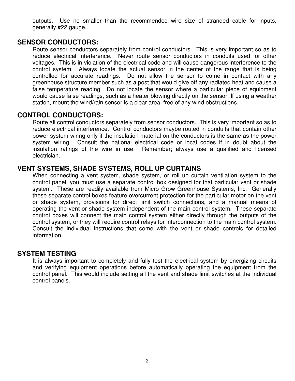outputs. Use no smaller than the recommended wire size of stranded cable for inputs, generally #22 gauge.

#### **SENSOR CONDUCTORS:**

Route sensor conductors separately from control conductors. This is very important so as to reduce electrical interference. Never route sensor conductors in conduits used for other voltages. This is in violation of the electrical code and will cause dangerous interference to the control system. Always locate the actual sensor in the center of the range that is being controlled for accurate readings. Do not allow the sensor to come in contact with any greenhouse structure member such as a post that would give off any radiated heat and cause a false temperature reading. Do not locate the sensor where a particular piece of equipment would cause false readings, such as a heater blowing directly on the sensor. If using a weather station, mount the wind/rain sensor is a clear area, free of any wind obstructions.

# **CONTROL CONDUCTORS:**

Route all control conductors separately from sensor conductors. This is very important so as to reduce electrical interference. Control conductors maybe routed in conduits that contain other power system wiring only if the insulation material on the conductors is the same as the power system wiring. Consult the national electrical code or local codes if in doubt about the insulation ratings of the wire in use. Remember; always use a qualified and licensed electrician.

# **VENT SYSTEMS, SHADE SYSTEMS, ROLL UP CURTAINS**

When connecting a vent system, shade system, or roll up curtain ventilation system to the control panel, you must use a separate control box designed for that particular vent or shade system. These are readily available from Micro Grow Greenhouse Systems, Inc. Generally these separate control boxes feature overcurrent protection for the particular motor on the vent or shade system, provisions for direct limit switch connections, and a manual means of operating the vent or shade system independent of the main control system. These separate control boxes will connect the main control system either directly through the outputs of the control system, or they will require control relays for interconnection to the main control system. Consult the individual instructions that come with the vent or shade controls for detailed information.

#### **SYSTEM TESTING**

It is always important to completely and fully test the electrical system by energizing circuits and verifying equipment operations before automatically operating the equipment from the control panel. This would include setting all the vent and shade limit switches at the individual control panels.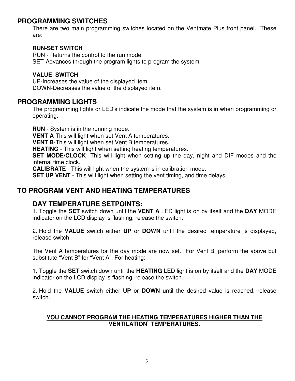# **PROGRAMMING SWITCHES**

There are two main programming switches located on the Ventmate Plus front panel. These are:

#### **RUN-SET SWITCH**

RUN - Returns the control to the run mode. SET-Advances through the program lights to program the system.

#### **VALUE SWITCH**

UP-Increases the value of the displayed item. DOWN-Decreases the value of the displayed item.

#### **PROGRAMMING LIGHTS**

The programming lights or LED's indicate the mode that the system is in when programming or operating.

**RUN** - System is in the running mode.

**VENT A**-This will light when set Vent A temperatures.

**VENT B**-This will light when set Vent B temperatures.

**HEATING** - This will light when setting heating temperatures.

**SET MODE/CLOCK**- This will light when setting up the day, night and DIF modes and the internal time clock.

**CALIBRATE** - This will light when the system is in calibration mode.

**SET UP VENT** - This will light when setting the vent timing, and time delays.

# **TO PROGRAM VENT AND HEATING TEMPERATURES**

# **DAY TEMPERATURE SETPOINTS:**

1. Toggle the **SET** switch down until the **VENT A** LED light is on by itself and the **DAY** MODE indicator on the LCD display is flashing, release the switch.

2. Hold the **VALUE** switch either **UP** or **DOWN** until the desired temperature is displayed, release switch.

The Vent A temperatures for the day mode are now set. For Vent B, perform the above but substitute "Vent B" for "Vent A". For heating:

1. Toggle the **SET** switch down until the **HEATING** LED light is on by itself and the **DAY** MODE indicator on the LCD display is flashing, release the switch.

2. Hold the **VALUE** switch either **UP** or **DOWN** until the desired value is reached, release switch.

#### **YOU CANNOT PROGRAM THE HEATING TEMPERATURES HIGHER THAN THE VENTILATION` TEMPERATURES.**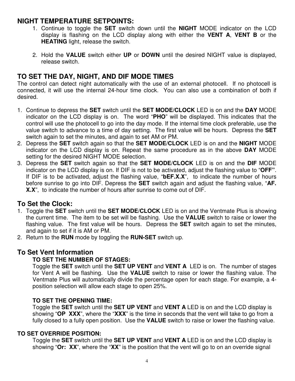# **NIGHT TEMPERATURE SETPOINTS:**

- 1. Continue to toggle the **SET** switch down until the **NIGHT** MODE indicator on the LCD display is flashing on the LCD display along with either the **VENT A**, **VENT B** or the **HEATING** light, release the switch.
- 2. Hold the **VALUE** switch either **UP** or **DOWN** until the desired NIGHT value is displayed, release switch.

# **TO SET THE DAY, NIGHT, AND DIF MODE TIMES**

The control can detect night automatically with the use of an external photocell. If no photocell is connected, it will use the internal 24-hour time clock. You can also use a combination of both if desired.

- 1. Continue to depress the **SET** switch until the **SET MODE/CLOCK** LED is on and the **DAY** MODE indicator on the LCD display is on. The word "**PHO**" will be displayed. This indicates that the control will use the photocell to go into the day mode. If the internal time clock preferable, use the value switch to advance to a time of day setting. The first value will be hours. Depress the **SET** switch again to set the minutes, and again to set AM or PM.
- 2. Depress the **SET** switch again so that the **SET MODE/CLOCK** LED is on and the **NIGHT** MODE indicator on the LCD display is on. Repeat the same procedure as in the above **DAY** MODE setting for the desired NIGHT MODE selection.
- 3. Depress the **SET** switch again so that the **SET MODE/CLOCK** LED is on and the **DIF** MODE indicator on the LCD display is on. If DIF is not to be activated, adjust the flashing value to "**OFF"**. If DIF is to be activated, adjust the flashing value, "**bEF.X.X**", to indicate the number of hours before sunrise to go into DIF. Depress the **SET** switch again and adjust the flashing value, "**AF. X.X**", to indicate the number of hours after sunrise to come out of DIF.

# **To Set the Clock:**

- 1. Toggle the **SET** switch until the **SET MODE/CLOCK** LED is on and the Ventmate Plus is showing the current time. The item to be set will be flashing. Use the **VALUE** switch to raise or lower the flashing value. The first value will be hours. Depress the **SET** switch again to set the minutes, and again to set if it is AM or PM.
- 2. Return to the **RUN** mode by toggling the **RUN-SET** switch up.

# **To Set Vent Information**

#### **TO SET THE NUMBER OF STAGES:**

Toggle the **SET** switch until the **SET UP VENT** and **VENT A** LED is on. The number of stages for Vent A will be flashing. Use the **VALUE** switch to raise or lower the flashing value. The Ventmate Plus will automatically divide the percentage open for each stage. For example, a 4 position selection will allow each stage to open 25%.

#### **TO SET THE OPENING TIME:**

Toggle the **SET** switch until the **SET UP VENT** and **VENT A** LED is on and the LCD display is showing "**OP XXX**", where the "**XXX**" is the time in seconds that the vent will take to go from a fully closed to a fully open position. Use the **VALUE** switch to raise or lower the flashing value.

#### **TO SET OVERRIDE POSITION:**

Toggle the **SET** switch until the **SET UP VENT** and **VENT A** LED is on and the LCD display is showing "**Or: XX**", where the "**XX**" is the position that the vent will go to on an override signal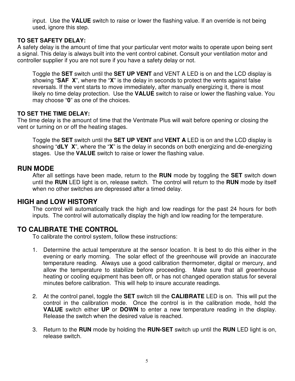input. Use the **VALUE** switch to raise or lower the flashing value. If an override is not being used, ignore this step.

#### **TO SET SAFETY DELAY:**

A safety delay is the amount of time that your particular vent motor waits to operate upon being sent a signal. This delay is always built into the vent control cabinet. Consult your ventilation motor and controller supplier if you are not sure if you have a safety delay or not.

Toggle the **SET** switch until the **SET UP VENT** and VENT A LED is on and the LCD display is showing "**SAF X**", where the "**X**" is the delay in seconds to protect the vents against false reversals. If the vent starts to move immediately, after manually energizing it, there is most likely no time delay protection. Use the **VALUE** switch to raise or lower the flashing value. You may choose "**0**" as one of the choices.

#### **TO SET THE TIME DELAY:**

The time delay is the amount of time that the Ventmate Plus will wait before opening or closing the vent or turning on or off the heating stages.

Toggle the **SET** switch until the **SET UP VENT** and **VENT A** LED is on and the LCD display is showing "**dLY X**", where the "**X**" is the delay in seconds on both energizing and de-energizing stages. Use the **VALUE** switch to raise or lower the flashing value.

# **RUN MODE**

After all settings have been made, return to the **RUN** mode by toggling the **SET** switch down until the **RUN** LED light is on, release switch. The control will return to the **RUN** mode by itself when no other switches are depressed after a timed delay.

# **HIGH and LOW HISTORY**

The control will automatically track the high and low readings for the past 24 hours for both inputs. The control will automatically display the high and low reading for the temperature.

# **TO CALIBRATE THE CONTROL**

To calibrate the control system, follow these instructions:

- 1. Determine the actual temperature at the sensor location. It is best to do this either in the evening or early morning. The solar effect of the greenhouse will provide an inaccurate temperature reading. Always use a good calibration thermometer, digital or mercury, and allow the temperature to stabilize before proceeding. Make sure that all greenhouse heating or cooling equipment has been off, or has not changed operation status for several minutes before calibration. This will help to insure accurate readings.
- 2. At the control panel, toggle the **SET** switch till the **CALIBRATE** LED is on. This will put the control in the calibration mode. Once the control is in the calibration mode, hold the **VALUE** switch either **UP** or **DOWN** to enter a new temperature reading in the display. Release the switch when the desired value is reached.
- 3. Return to the **RUN** mode by holding the **RUN-SET** switch up until the **RUN** LED light is on, release switch.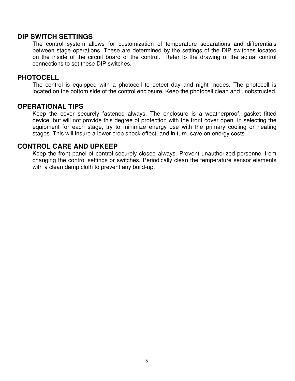#### **DIP SWITCH SETTINGS**

The control system allows for customization of temperature separations and differentials between stage operations. These are determined by the settings of the DIP switches located on the inside of the circuit board of the control. Refer to the drawing of the actual control connections to set these DIP switches.

#### **PHOTOCELL**

The control is equipped with a photocell to detect day and night modes. The photocell is located on the bottom side of the control enclosure. Keep the photocell clean and unobstructed.

#### **OPERATIONAL TIPS**

Keep the cover securely fastened always. The enclosure is a weatherproof, gasket fitted device, but will not provide this degree of protection with the front cover open. In selecting the equipment for each stage, try to minimize energy use with the primary cooling or heating stages. This will insure a lower crop shock effect, and in turn, save on energy costs.

#### **CONTROL CARE AND UPKEEP**

Keep the front panel of control securely closed always. Prevent unauthorized personnel from changing the control settings or switches. Periodically clean the temperature sensor elements with a clean damp cloth to prevent any build-up.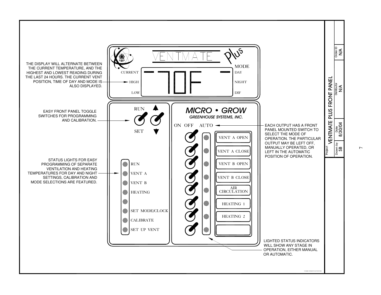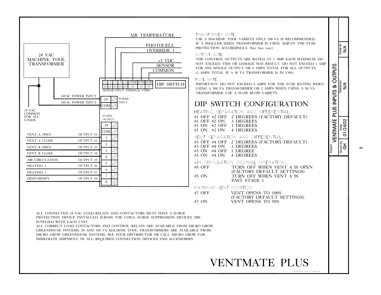

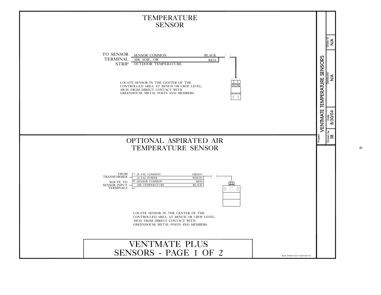

 $\mathbf{\Omega}$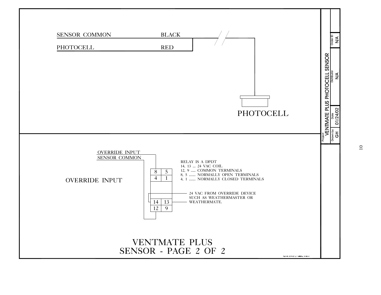

 $\Omega$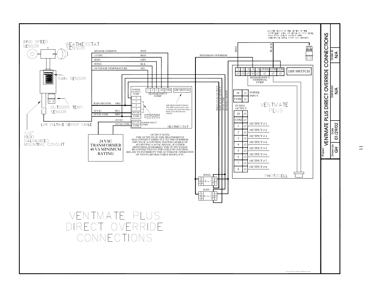